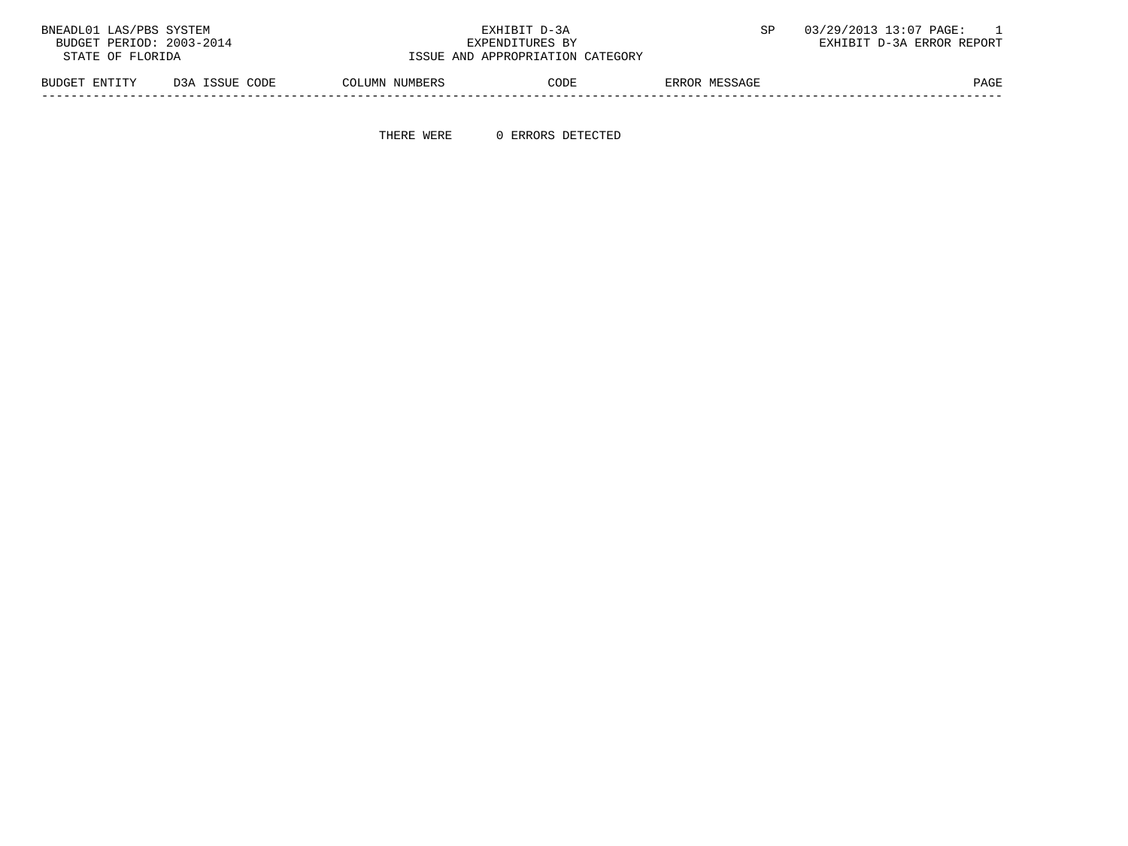| BNEADL01 LAS/PBS SYSTEM  |                | EXHIBIT D-3A                     |                |      |               | 03/29/2013 13:07 PAGE:    |
|--------------------------|----------------|----------------------------------|----------------|------|---------------|---------------------------|
| BUDGET PERIOD: 2003-2014 |                | EXPENDITURES BY                  |                |      |               | EXHIBIT D-3A ERROR REPORT |
| STATE OF FLORIDA         |                | ISSUE AND APPROPRIATION CATEGORY |                |      |               |                           |
| BUDGET ENTITY            | D3A ISSUE CODE |                                  | COLUMN NUMBERS | CODE | ERROR MESSAGE | PAGE                      |

THERE WERE 0 ERRORS DETECTED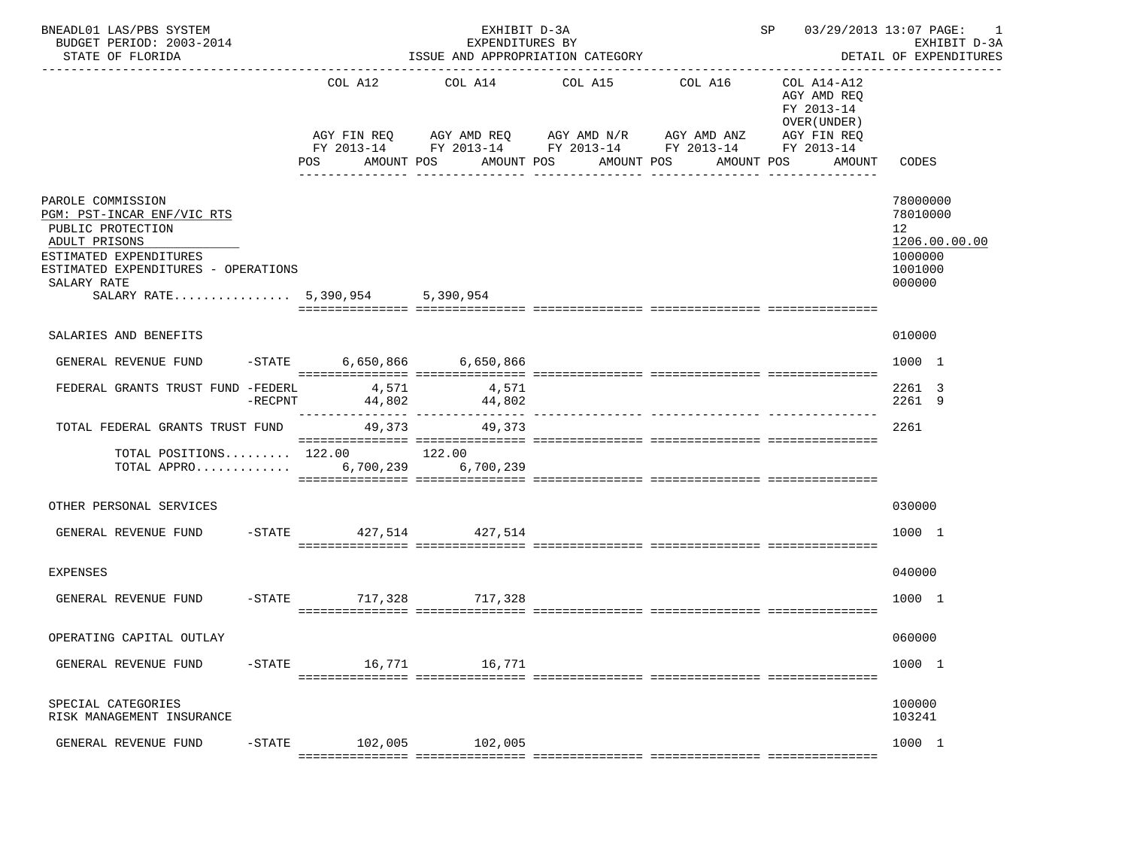| BNEADL01 LAS/PBS SYSTEM<br>BUDGET PERIOD: 2003-2014<br>STATE OF FLORIDA                                                                                                                                  |           |                | EXHIBIT D-3A<br>EXPENDITURES BY<br>ISSUE AND APPROPRIATION CATEGORY |                                                                                                        | SP 03/29/2013 13:07 PAGE:                                                 | 1<br>EXHIBIT D-3A<br>DETAIL OF EXPENDITURES                                                     |                                                                                          |  |
|----------------------------------------------------------------------------------------------------------------------------------------------------------------------------------------------------------|-----------|----------------|---------------------------------------------------------------------|--------------------------------------------------------------------------------------------------------|---------------------------------------------------------------------------|-------------------------------------------------------------------------------------------------|------------------------------------------------------------------------------------------|--|
|                                                                                                                                                                                                          |           | COL A12<br>POS | AMOUNT POS                                                          | COL A14 COL A15 COL A16<br>AGY FIN REQ AGY AMD REQ AGY AMD N/R AGY AMD ANZ<br>AMOUNT POS<br>AMOUNT POS | FY 2013-14 FY 2013-14 FY 2013-14 FY 2013-14 FY 2013-14<br>--------------- | COL A14-A12<br>AGY AMD REQ<br>FY 2013-14<br>OVER (UNDER)<br>AGY FIN REQ<br>AMOUNT POS<br>AMOUNT | CODES                                                                                    |  |
| PAROLE COMMISSION<br>PGM: PST-INCAR ENF/VIC RTS<br>PUBLIC PROTECTION<br>ADULT PRISONS<br>ESTIMATED EXPENDITURES<br>ESTIMATED EXPENDITURES - OPERATIONS<br>SALARY RATE<br>SALARY RATE 5,390,954 5,390,954 |           |                |                                                                     |                                                                                                        |                                                                           |                                                                                                 | 78000000<br>78010000<br>12 <sup>1</sup><br>1206.00.00.00<br>1000000<br>1001000<br>000000 |  |
| SALARIES AND BENEFITS                                                                                                                                                                                    |           |                |                                                                     |                                                                                                        |                                                                           |                                                                                                 | 010000                                                                                   |  |
| GENERAL REVENUE FUND                                                                                                                                                                                     |           |                | -STATE 6,650,866 6,650,866                                          |                                                                                                        |                                                                           |                                                                                                 | 1000 1                                                                                   |  |
| FEDERAL GRANTS TRUST FUND -FEDERL 4,571                                                                                                                                                                  | -RECPNT   |                | 4,571<br>44,802 44,802                                              |                                                                                                        |                                                                           |                                                                                                 | 2261 3<br>2261 9                                                                         |  |
| TOTAL FEDERAL GRANTS TRUST FUND 49,373 49,373                                                                                                                                                            |           |                |                                                                     |                                                                                                        |                                                                           |                                                                                                 | 2261                                                                                     |  |
| TOTAL POSITIONS 122.00 122.00<br>TOTAL APPRO 6,700,239 6,700,239                                                                                                                                         |           |                |                                                                     |                                                                                                        |                                                                           |                                                                                                 |                                                                                          |  |
| OTHER PERSONAL SERVICES                                                                                                                                                                                  |           |                |                                                                     |                                                                                                        |                                                                           |                                                                                                 | 030000                                                                                   |  |
| GENERAL REVENUE FUND -STATE 427,514 427,514                                                                                                                                                              |           |                |                                                                     |                                                                                                        |                                                                           |                                                                                                 | 1000 1                                                                                   |  |
| <b>EXPENSES</b>                                                                                                                                                                                          |           |                |                                                                     |                                                                                                        |                                                                           |                                                                                                 | 040000                                                                                   |  |
| GENERAL REVENUE FUND                                                                                                                                                                                     |           |                | -STATE 717,328 717,328                                              |                                                                                                        |                                                                           |                                                                                                 | 1000 1                                                                                   |  |
| OPERATING CAPITAL OUTLAY                                                                                                                                                                                 |           |                |                                                                     |                                                                                                        |                                                                           |                                                                                                 | 060000                                                                                   |  |
| GENERAL REVENUE FUND                                                                                                                                                                                     | $-$ STATE | 16,771         | 16,771                                                              |                                                                                                        |                                                                           |                                                                                                 | 1000 1                                                                                   |  |
| SPECIAL CATEGORIES<br>RISK MANAGEMENT INSURANCE                                                                                                                                                          |           |                |                                                                     |                                                                                                        |                                                                           |                                                                                                 | 100000<br>103241                                                                         |  |
| GENERAL REVENUE FUND                                                                                                                                                                                     | $-STATE$  | 102,005        | 102,005                                                             |                                                                                                        |                                                                           |                                                                                                 | 1000 1                                                                                   |  |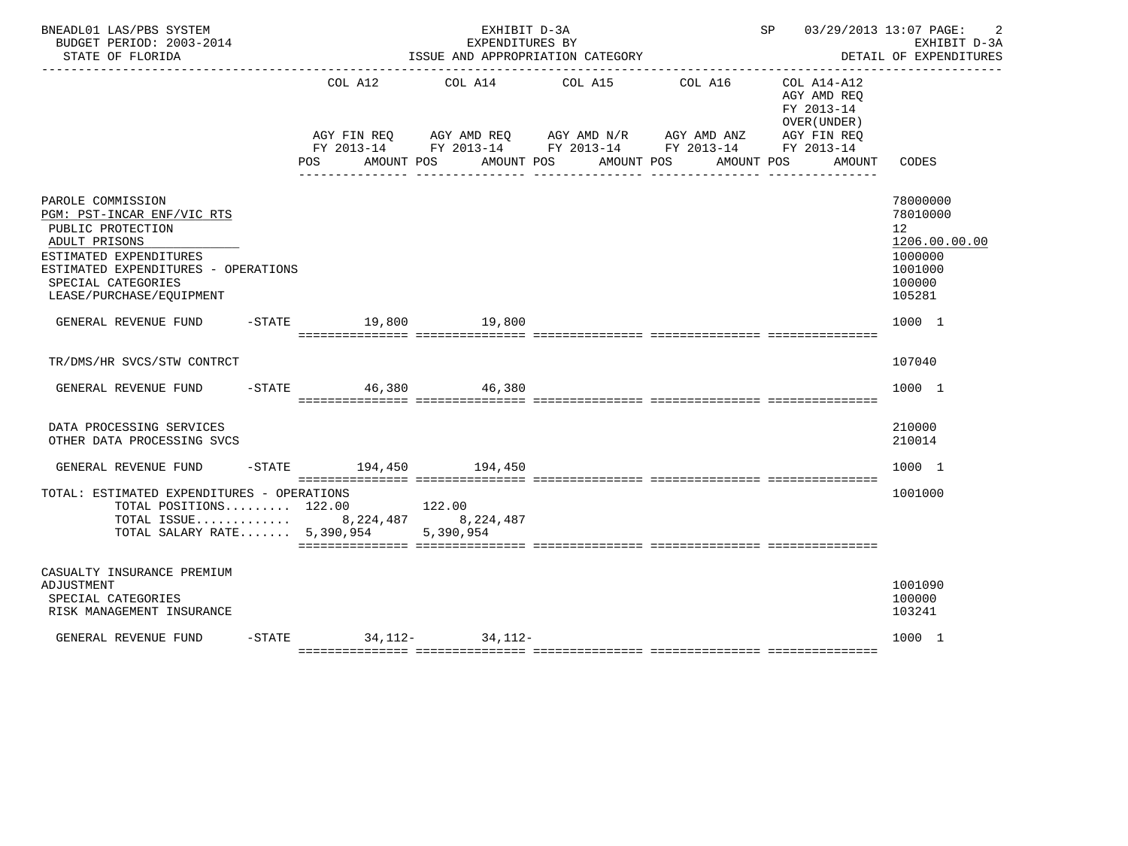| BNEADL01 LAS/PBS SYSTEM<br>BUDGET PERIOD: 2003-2014<br>STATE OF FLORIDA                                                                                                                                  | EXHIBIT D-3A<br>EXPENDITURES BY<br>ISSUE AND APPROPRIATION CATEGORY |                              |        |                                                                                                                                                     |            | SP 03/29/2013 13:07 PAGE:                                          | 2<br>EXHIBIT D-3A<br>DETAIL OF EXPENDITURES                                           |  |
|----------------------------------------------------------------------------------------------------------------------------------------------------------------------------------------------------------|---------------------------------------------------------------------|------------------------------|--------|-----------------------------------------------------------------------------------------------------------------------------------------------------|------------|--------------------------------------------------------------------|---------------------------------------------------------------------------------------|--|
|                                                                                                                                                                                                          |                                                                     | COL A12<br>AMOUNT POS<br>POS |        | COL A14 COL A15 COL A16<br>AGY FIN REQ AGY AMD REQ AGY AMD N/R AGY AMD ANZ AGY FIN REQ FY 2013-14 FY 2013-14 FY 2013-14<br>AMOUNT POS<br>AMOUNT POS | AMOUNT POS | COL A14-A12<br>AGY AMD REO<br>FY 2013-14<br>OVER (UNDER)<br>AMOUNT | CODES                                                                                 |  |
| PAROLE COMMISSION<br>PGM: PST-INCAR ENF/VIC RTS<br>PUBLIC PROTECTION<br>ADULT PRISONS<br>ESTIMATED EXPENDITURES<br>ESTIMATED EXPENDITURES - OPERATIONS<br>SPECIAL CATEGORIES<br>LEASE/PURCHASE/EQUIPMENT |                                                                     |                              |        |                                                                                                                                                     |            |                                                                    | 78000000<br>78010000<br>12<br>1206.00.00.00<br>1000000<br>1001000<br>100000<br>105281 |  |
| GENERAL REVENUE FUND                                                                                                                                                                                     |                                                                     | -STATE 19,800 19,800         |        |                                                                                                                                                     |            |                                                                    | 1000 1                                                                                |  |
| TR/DMS/HR SVCS/STW CONTRCT<br>GENERAL REVENUE FUND                                                                                                                                                       |                                                                     | -STATE 46,380 46,380         |        |                                                                                                                                                     |            |                                                                    | 107040<br>1000 1                                                                      |  |
| DATA PROCESSING SERVICES<br>OTHER DATA PROCESSING SVCS<br>GENERAL REVENUE FUND                                                                                                                           |                                                                     | -STATE 194,450 194,450       |        |                                                                                                                                                     |            |                                                                    | 210000<br>210014<br>1000 1                                                            |  |
| TOTAL: ESTIMATED EXPENDITURES - OPERATIONS<br>TOTAL POSITIONS $122.00$<br>TOTAL ISSUE 8, 224, 487 8, 224, 487<br>TOTAL SALARY RATE 5,390,954 5,390,954                                                   |                                                                     |                              | 122.00 |                                                                                                                                                     |            |                                                                    | 1001000                                                                               |  |
| CASUALTY INSURANCE PREMIUM<br>ADJUSTMENT<br>SPECIAL CATEGORIES<br>RISK MANAGEMENT INSURANCE                                                                                                              |                                                                     |                              |        |                                                                                                                                                     |            |                                                                    | 1001090<br>100000<br>103241                                                           |  |
| GENERAL REVENUE FUND                                                                                                                                                                                     |                                                                     | $-STATE$ 34.112- 34.112-     |        |                                                                                                                                                     |            |                                                                    | 1000 1                                                                                |  |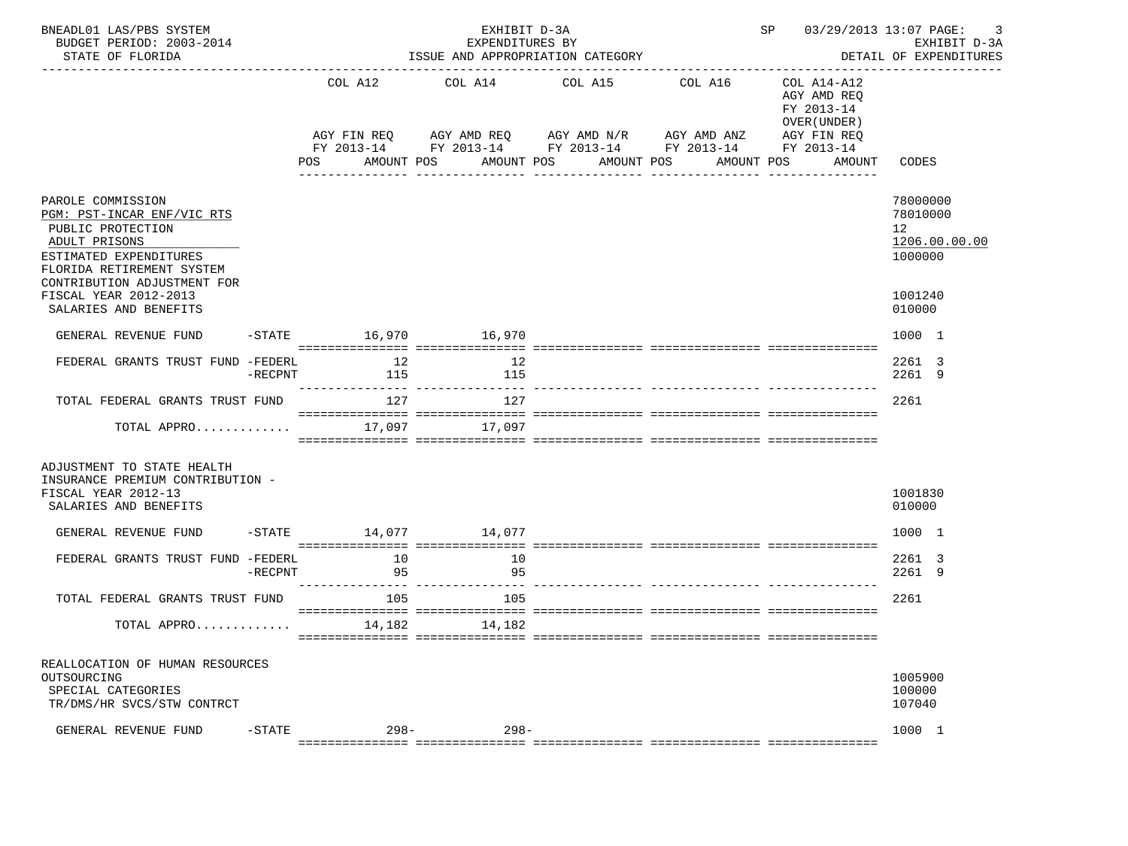| BNEADL01 LAS/PBS SYSTEM<br>BUDGET PERIOD: 2003-2014<br>STATE OF FLORIDA                                                                      | EXHIBIT D-3A<br>EXPENDITURES BY<br>ISSUE AND APPROPRIATION CATEGORY |           |            |  |                                                                                                                                      |  |                 |            |                                | SP 03/29/2013 13:07 PAGE:<br>3<br>EXHIBIT D-3A<br>DETAIL OF EXPENDITURES |                                                    |               |
|----------------------------------------------------------------------------------------------------------------------------------------------|---------------------------------------------------------------------|-----------|------------|--|--------------------------------------------------------------------------------------------------------------------------------------|--|-----------------|------------|--------------------------------|--------------------------------------------------------------------------|----------------------------------------------------|---------------|
|                                                                                                                                              |                                                                     | COL A12   |            |  | COL A14 COL A15 COL A16<br>AGY FIN REQ AGY AMD REQ AGY AMD N/R AGY AMD ANZ<br>FY 2013-14 FY 2013-14 FY 2013-14 FY 2013-14 FY 2013-14 |  |                 |            |                                | COL A14-A12<br>AGY AMD REQ<br>FY 2013-14<br>OVER (UNDER)<br>AGY FIN REQ  |                                                    |               |
|                                                                                                                                              |                                                                     | POS       | AMOUNT POS |  | AMOUNT POS                                                                                                                           |  | _______________ | AMOUNT POS | AMOUNT POS<br>---------------- | AMOUNT                                                                   | CODES                                              |               |
| PAROLE COMMISSION<br>PGM: PST-INCAR ENF/VIC RTS<br>PUBLIC PROTECTION<br>ADULT PRISONS<br>ESTIMATED EXPENDITURES<br>FLORIDA RETIREMENT SYSTEM |                                                                     |           |            |  |                                                                                                                                      |  |                 |            |                                |                                                                          | 78000000<br>78010000<br>12 <sup>°</sup><br>1000000 | 1206.00.00.00 |
| CONTRIBUTION ADJUSTMENT FOR<br>FISCAL YEAR 2012-2013<br>SALARIES AND BENEFITS                                                                |                                                                     |           |            |  |                                                                                                                                      |  |                 |            |                                |                                                                          | 1001240<br>010000                                  |               |
| GENERAL REVENUE FUND                                                                                                                         |                                                                     |           |            |  | -STATE 16,970 16,970                                                                                                                 |  |                 |            |                                |                                                                          | 1000 1                                             |               |
| FEDERAL GRANTS TRUST FUND -FEDERL                                                                                                            | $-RECPNT$                                                           |           | 12<br>115  |  | 12<br>115                                                                                                                            |  |                 |            |                                |                                                                          | 2261 3<br>2261 9                                   |               |
| TOTAL FEDERAL GRANTS TRUST FUND                                                                                                              |                                                                     | 127       |            |  | 127                                                                                                                                  |  |                 |            |                                |                                                                          | 2261                                               |               |
| TOTAL APPRO 17,097 17,097                                                                                                                    |                                                                     |           |            |  |                                                                                                                                      |  |                 |            |                                |                                                                          |                                                    |               |
| ADJUSTMENT TO STATE HEALTH<br>INSURANCE PREMIUM CONTRIBUTION -<br>FISCAL YEAR 2012-13<br>SALARIES AND BENEFITS                               |                                                                     |           |            |  |                                                                                                                                      |  |                 |            |                                |                                                                          | 1001830<br>010000                                  |               |
| GENERAL REVENUE FUND                                                                                                                         |                                                                     |           |            |  | $-$ STATE $14,077$ $14,077$                                                                                                          |  |                 |            |                                |                                                                          | 1000 1                                             |               |
| FEDERAL GRANTS TRUST FUND -FEDERL                                                                                                            | $-$ RECPNT                                                          | $\sim$ 95 | 10         |  | 10<br>95<br>---------------- ---------------- --                                                                                     |  |                 |            |                                |                                                                          | 2261 3<br>2261 9                                   |               |
| TOTAL FEDERAL GRANTS TRUST FUND                                                                                                              |                                                                     | 105       |            |  | 105                                                                                                                                  |  |                 |            |                                |                                                                          | 2261                                               |               |
| TOTAL APPRO 14,182 14,182                                                                                                                    |                                                                     |           |            |  |                                                                                                                                      |  |                 |            |                                |                                                                          |                                                    |               |
| REALLOCATION OF HUMAN RESOURCES<br>OUTSOURCING<br>SPECIAL CATEGORIES<br>TR/DMS/HR SVCS/STW CONTRCT                                           |                                                                     |           |            |  |                                                                                                                                      |  |                 |            |                                |                                                                          | 1005900<br>100000<br>107040                        |               |
| GENERAL REVENUE FUND                                                                                                                         | $-STATE$                                                            |           | $298 -$    |  | $298-$                                                                                                                               |  |                 |            |                                |                                                                          | 1000 1                                             |               |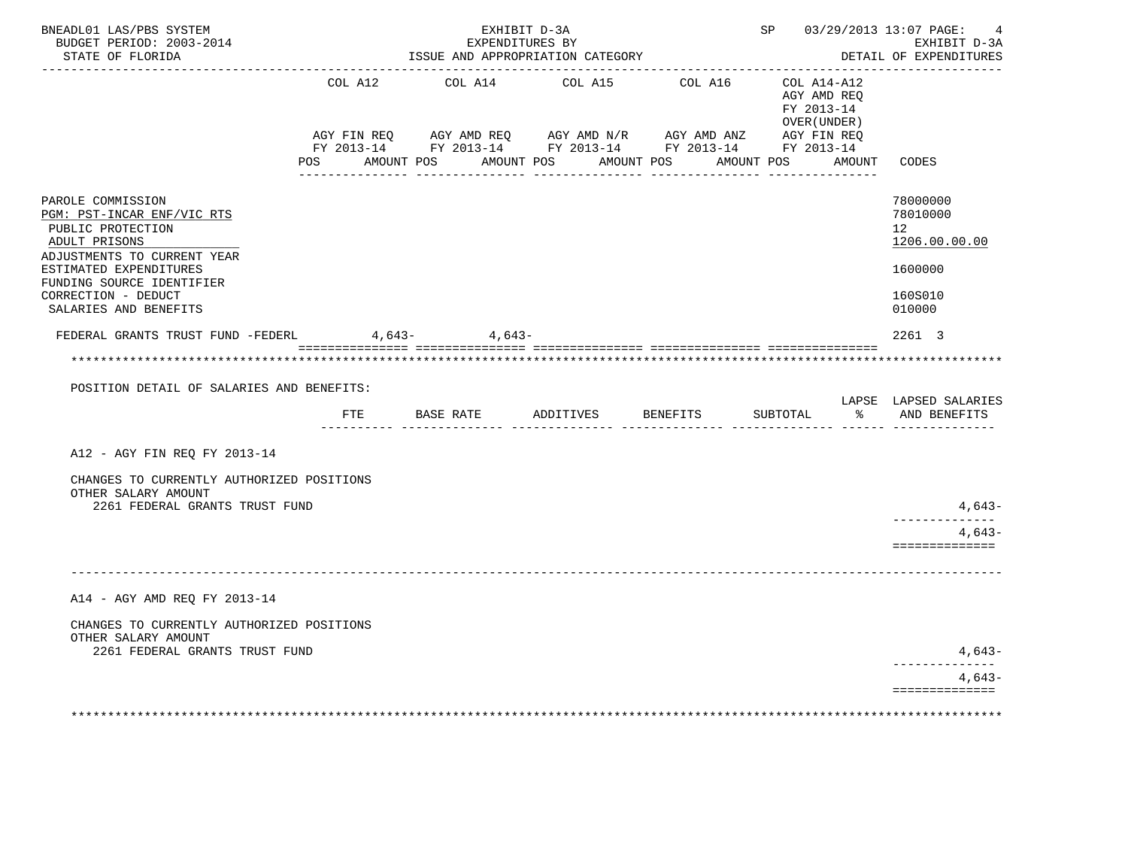| BNEADL01 LAS/PBS SYSTEM<br>BUDGET PERIOD: 2003-2014<br>STATE OF FLORIDA                                                                                                                                                     | EXHIBIT D-3A<br>EXPENDITURES BY<br>ISSUE AND APPROPRIATION CATEGORY<br>-------------------------------- |                |                                  |  |                                                                                                                                                 |                                                                       | SP 03/29/2013 13:07 PAGE:<br>4<br>EXHIBIT D-3A<br>DETAIL OF EXPENDITURES    |  |
|-----------------------------------------------------------------------------------------------------------------------------------------------------------------------------------------------------------------------------|---------------------------------------------------------------------------------------------------------|----------------|----------------------------------|--|-------------------------------------------------------------------------------------------------------------------------------------------------|-----------------------------------------------------------------------|-----------------------------------------------------------------------------|--|
|                                                                                                                                                                                                                             | COL A12<br>AGY FIN REQ<br>POS AMOUNT POS                                                                | COL A14        | COL A15<br>AMOUNT POS AMOUNT POS |  | COL A16 COL A14-A12<br>AGY AMD REQ      AGY AMD N/R      AGY AMD ANZ      AGY FIN REQ<br>FY 2013-14 FY 2013-14 FY 2013-14 FY 2013-14 FY 2013-14 | AGY AMD REO<br>FY 2013-14<br>OVER (UNDER )<br>AMOUNT POS AMOUNT CODES |                                                                             |  |
| PAROLE COMMISSION<br>PGM: PST-INCAR ENF/VIC RTS<br>PUBLIC PROTECTION<br>ADULT PRISONS<br>ADJUSTMENTS TO CURRENT YEAR<br>ESTIMATED EXPENDITURES<br>FUNDING SOURCE IDENTIFIER<br>CORRECTION - DEDUCT<br>SALARIES AND BENEFITS |                                                                                                         |                |                                  |  |                                                                                                                                                 |                                                                       | 78000000<br>78010000<br>12<br>1206.00.00.00<br>1600000<br>160S010<br>010000 |  |
| FEDERAL GRANTS TRUST FUND -FEDERL                                                                                                                                                                                           |                                                                                                         | $4,643 4,643-$ |                                  |  |                                                                                                                                                 |                                                                       | 2261 3                                                                      |  |
|                                                                                                                                                                                                                             |                                                                                                         |                |                                  |  |                                                                                                                                                 |                                                                       |                                                                             |  |
| POSITION DETAIL OF SALARIES AND BENEFITS:                                                                                                                                                                                   |                                                                                                         |                |                                  |  |                                                                                                                                                 |                                                                       | LAPSE LAPSED SALARIES                                                       |  |
|                                                                                                                                                                                                                             | FTE                                                                                                     |                | BASE RATE ADDITIVES              |  | BENEFITS                                                                                                                                        | SUBTOTAL                                                              | % AND BENEFITS                                                              |  |
| A12 - AGY FIN REQ FY 2013-14                                                                                                                                                                                                |                                                                                                         |                |                                  |  |                                                                                                                                                 |                                                                       |                                                                             |  |
| CHANGES TO CURRENTLY AUTHORIZED POSITIONS<br>OTHER SALARY AMOUNT                                                                                                                                                            |                                                                                                         |                |                                  |  |                                                                                                                                                 |                                                                       |                                                                             |  |
| 2261 FEDERAL GRANTS TRUST FUND                                                                                                                                                                                              |                                                                                                         |                |                                  |  |                                                                                                                                                 |                                                                       | $4,643-$<br>_____________                                                   |  |
|                                                                                                                                                                                                                             |                                                                                                         |                |                                  |  |                                                                                                                                                 |                                                                       | $4.643-$<br>==============                                                  |  |
| A14 - AGY AMD REO FY 2013-14<br>CHANGES TO CURRENTLY AUTHORIZED POSITIONS                                                                                                                                                   |                                                                                                         |                |                                  |  |                                                                                                                                                 |                                                                       |                                                                             |  |
| OTHER SALARY AMOUNT<br>2261 FEDERAL GRANTS TRUST FUND                                                                                                                                                                       |                                                                                                         |                |                                  |  |                                                                                                                                                 |                                                                       | 4,643-                                                                      |  |
|                                                                                                                                                                                                                             |                                                                                                         |                |                                  |  |                                                                                                                                                 |                                                                       | ------------<br>$4,643-$                                                    |  |
|                                                                                                                                                                                                                             |                                                                                                         |                |                                  |  |                                                                                                                                                 |                                                                       | ==============                                                              |  |
|                                                                                                                                                                                                                             |                                                                                                         |                |                                  |  |                                                                                                                                                 |                                                                       |                                                                             |  |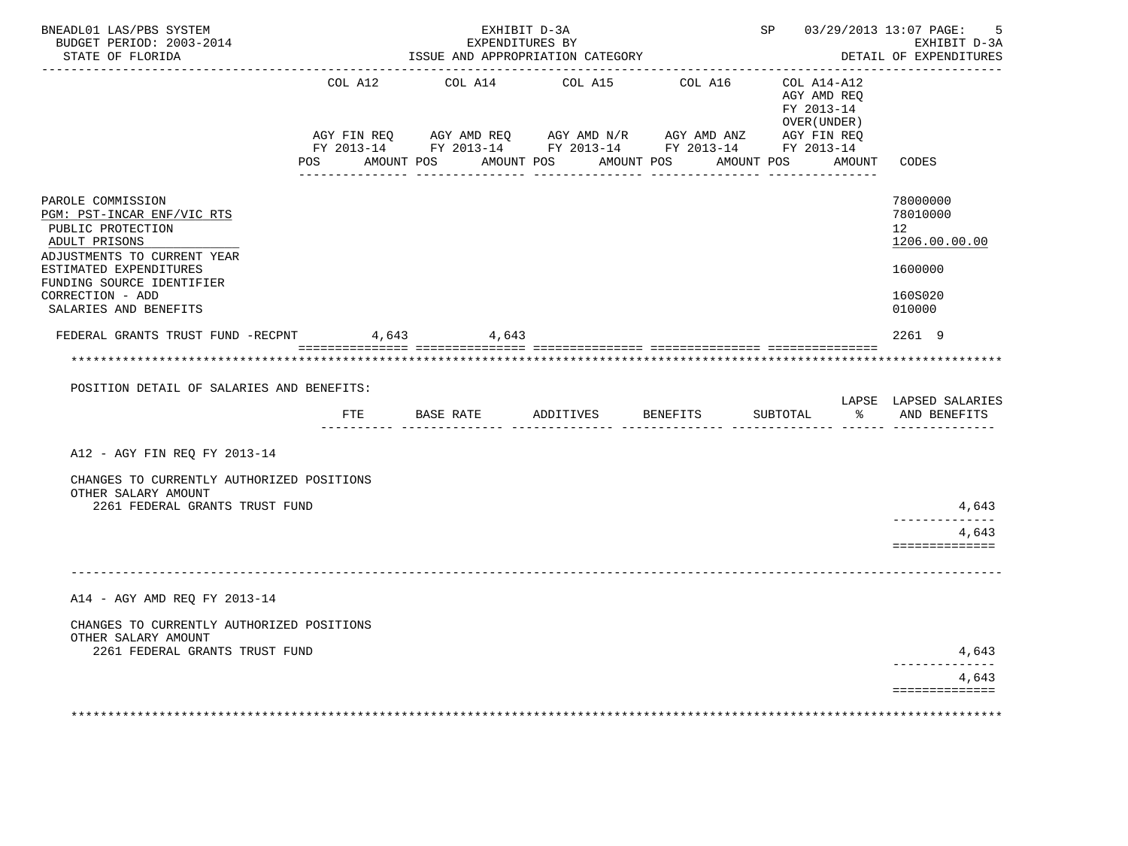| BNEADL01 LAS/PBS SYSTEM<br>BUDGET PERIOD: 2003-2014<br>STATE OF FLORIDA                                                                                                                                                  |             | EXHIBIT D-3A<br>EXPENDITURES BY<br>ISSUE AND APPROPRIATION CATEGORY                                                                               |           | SP 03/29/2013 13:07 PAGE:                                                                                     | -5<br>EXHIBIT D-3A<br>DETAIL OF EXPENDITURES              |                                                                                           |
|--------------------------------------------------------------------------------------------------------------------------------------------------------------------------------------------------------------------------|-------------|---------------------------------------------------------------------------------------------------------------------------------------------------|-----------|---------------------------------------------------------------------------------------------------------------|-----------------------------------------------------------|-------------------------------------------------------------------------------------------|
|                                                                                                                                                                                                                          | COL A12     | COL A14 COL A15                                                                                                                                   |           | COL A16                                                                                                       | COL A14-A12<br>AGY AMD REQ<br>FY 2013-14<br>OVER (UNDER ) |                                                                                           |
|                                                                                                                                                                                                                          | AGY FIN REQ | AGY AMD REQ AGY AMD N/R AGY AMD ANZ AGY FIN REQ<br>FY 2013-14 FY 2013-14 FY 2013-14 FY 2013-14 FY 2013-14<br>POS AMOUNT POS AMOUNT POS AMOUNT POS |           | .co concerted della della della della della della della della della della della della della della della della | AMOUNT POS AMOUNT CODES                                   |                                                                                           |
| PAROLE COMMISSION<br>PGM: PST-INCAR ENF/VIC RTS<br>PUBLIC PROTECTION<br>ADULT PRISONS<br>ADJUSTMENTS TO CURRENT YEAR<br>ESTIMATED EXPENDITURES<br>FUNDING SOURCE IDENTIFIER<br>CORRECTION - ADD<br>SALARIES AND BENEFITS |             |                                                                                                                                                   |           |                                                                                                               |                                                           | 78000000<br>78010000<br>12 <sup>12</sup><br>1206.00.00.00<br>1600000<br>160S020<br>010000 |
| FEDERAL GRANTS TRUST FUND -RECPNT                                                                                                                                                                                        | 4,643       | 4,643                                                                                                                                             |           |                                                                                                               |                                                           | 2261 9                                                                                    |
| POSITION DETAIL OF SALARIES AND BENEFITS:                                                                                                                                                                                | FTE         | BASE RATE                                                                                                                                         | ADDITIVES | BENEFITS                                                                                                      | SUBTOTAL<br>$\approx$ $\approx$                           | LAPSE LAPSED SALARIES<br>AND BENEFITS                                                     |
| A12 - AGY FIN REO FY 2013-14<br>CHANGES TO CURRENTLY AUTHORIZED POSITIONS<br>OTHER SALARY AMOUNT<br>2261 FEDERAL GRANTS TRUST FUND                                                                                       |             |                                                                                                                                                   |           |                                                                                                               |                                                           | 4,643<br>_____________<br>4,643<br>==============                                         |
| A14 - AGY AMD REO FY 2013-14<br>CHANGES TO CURRENTLY AUTHORIZED POSITIONS<br>OTHER SALARY AMOUNT<br>2261 FEDERAL GRANTS TRUST FUND                                                                                       |             |                                                                                                                                                   |           |                                                                                                               |                                                           | 4,643<br>. <u>.</u> .<br>4,643<br>==============                                          |
|                                                                                                                                                                                                                          |             |                                                                                                                                                   |           |                                                                                                               |                                                           |                                                                                           |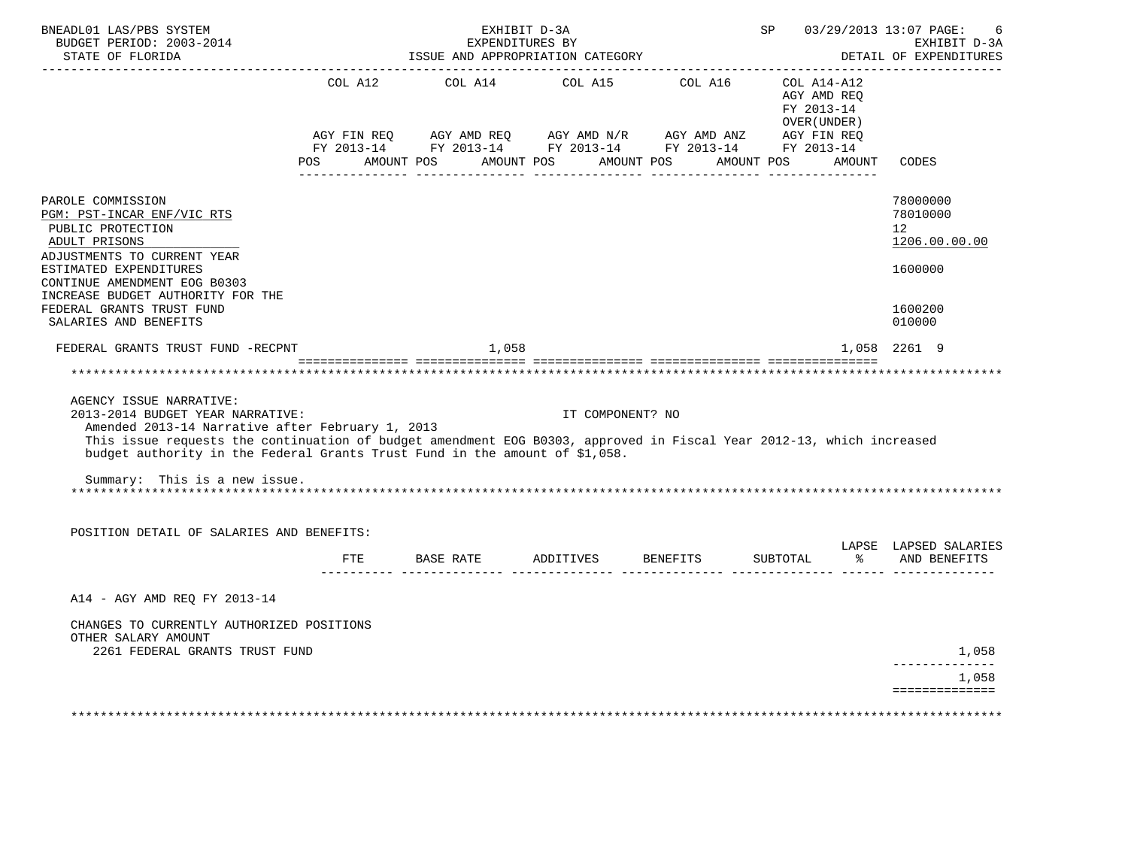| BNEADL01 LAS/PBS SYSTEM<br>BUDGET PERIOD: 2003-2014<br>STATE OF FLORIDA<br>---------------------                                                                                                                                                                                                                       | EXHIBIT D-3A<br>EXPENDITURES BY<br>ISSUE AND APPROPRIATION CATEGORY | SP 03/29/2013 13:07 PAGE: | 6<br>EXHIBIT D-3A<br>DETAIL OF EXPENDITURES                                                                           |                                             |                                                                      |
|------------------------------------------------------------------------------------------------------------------------------------------------------------------------------------------------------------------------------------------------------------------------------------------------------------------------|---------------------------------------------------------------------|---------------------------|-----------------------------------------------------------------------------------------------------------------------|---------------------------------------------|----------------------------------------------------------------------|
|                                                                                                                                                                                                                                                                                                                        |                                                                     |                           | AGY FIN REQ AGY AMD REQ AGY AMD N/R AGY AMD ANZ AGY FIN REQ<br>FY 2013-14 FY 2013-14 FY 2013-14 FY 2013-14 FY 2013-14 | AGY AMD REO<br>FY 2013-14<br>OVER ( UNDER ) |                                                                      |
|                                                                                                                                                                                                                                                                                                                        | POS AMOUNT POS AMOUNT POS AMOUNT POS                                |                           |                                                                                                                       | AMOUNT POS AMOUNT                           | CODES                                                                |
| PAROLE COMMISSION<br>PGM: PST-INCAR ENF/VIC RTS<br>PUBLIC PROTECTION<br>ADULT PRISONS<br>ADJUSTMENTS TO CURRENT YEAR<br>ESTIMATED EXPENDITURES<br>CONTINUE AMENDMENT EOG B0303                                                                                                                                         |                                                                     |                           |                                                                                                                       |                                             | 78000000<br>78010000<br>12 <sup>12</sup><br>1206.00.00.00<br>1600000 |
| INCREASE BUDGET AUTHORITY FOR THE<br>FEDERAL GRANTS TRUST FUND<br>SALARIES AND BENEFITS                                                                                                                                                                                                                                |                                                                     |                           |                                                                                                                       |                                             | 1600200<br>010000                                                    |
| FEDERAL GRANTS TRUST FUND -RECPNT                                                                                                                                                                                                                                                                                      | 1,058                                                               |                           |                                                                                                                       |                                             | 1,058 2261 9                                                         |
|                                                                                                                                                                                                                                                                                                                        |                                                                     |                           |                                                                                                                       |                                             |                                                                      |
| AGENCY ISSUE NARRATIVE:<br>2013-2014 BUDGET YEAR NARRATIVE:<br>Amended 2013-14 Narrative after February 1, 2013<br>This issue requests the continuation of budget amendment EOG B0303, approved in Fiscal Year 2012-13, which increased<br>budget authority in the Federal Grants Trust Fund in the amount of \$1,058. |                                                                     | IT COMPONENT? NO          |                                                                                                                       |                                             |                                                                      |
| Summary: This is a new issue.                                                                                                                                                                                                                                                                                          |                                                                     |                           |                                                                                                                       |                                             |                                                                      |
| POSITION DETAIL OF SALARIES AND BENEFITS:                                                                                                                                                                                                                                                                              |                                                                     |                           |                                                                                                                       |                                             | LAPSE LAPSED SALARIES                                                |
|                                                                                                                                                                                                                                                                                                                        | FTE BASE RATE ADDITIVES BENEFITS<br>___________ ______________      |                           |                                                                                                                       | SUBTOTAL $\frac{1}{6}$ AND BENEFITS         |                                                                      |
| A14 - AGY AMD REO FY 2013-14                                                                                                                                                                                                                                                                                           |                                                                     |                           |                                                                                                                       |                                             |                                                                      |
| CHANGES TO CURRENTLY AUTHORIZED POSITIONS<br>OTHER SALARY AMOUNT<br>2261 FEDERAL GRANTS TRUST FUND                                                                                                                                                                                                                     |                                                                     |                           |                                                                                                                       |                                             | 1,058                                                                |
|                                                                                                                                                                                                                                                                                                                        |                                                                     |                           |                                                                                                                       |                                             | _____________<br>1,058                                               |
|                                                                                                                                                                                                                                                                                                                        |                                                                     |                           |                                                                                                                       |                                             | ==============                                                       |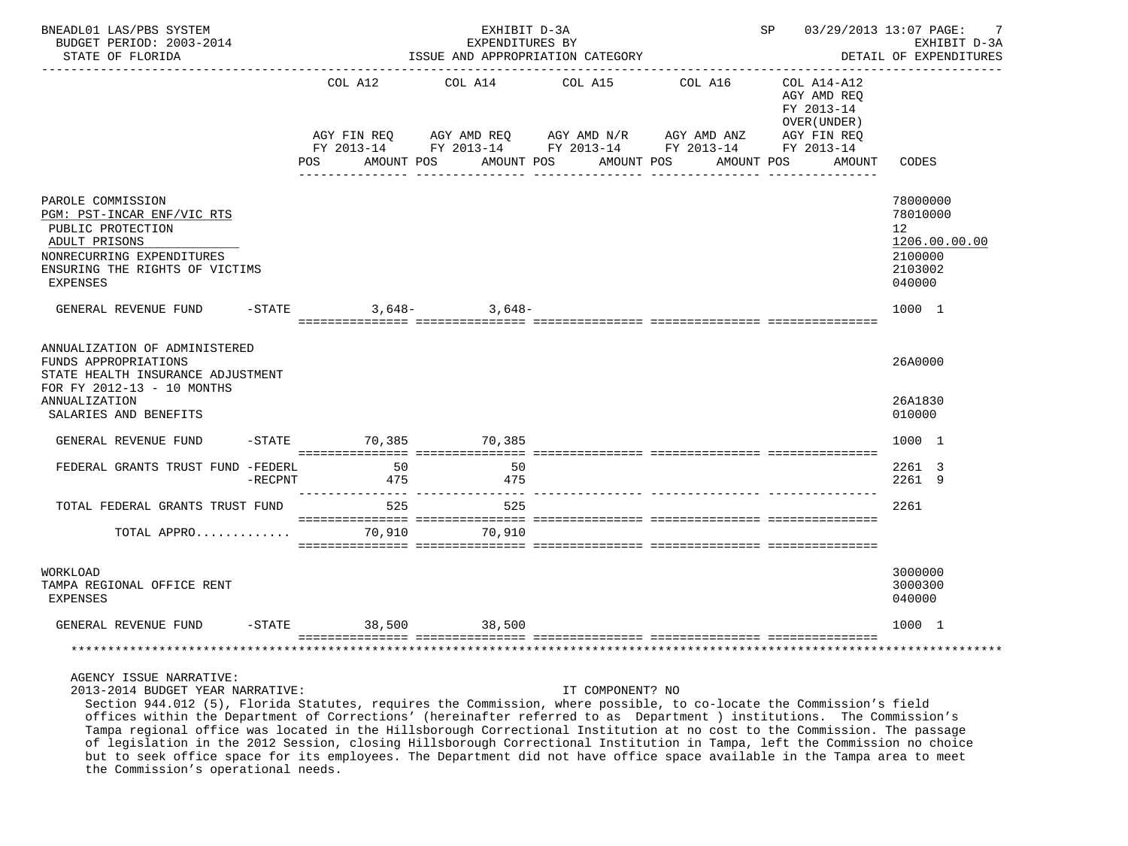| BNEADL01 LAS/PBS SYSTEM<br>BUDGET PERIOD: 2003-2014<br>STATE OF FLORIDA                                                                                                   |           |                                                       | EXHIBIT D-3A<br>EXPENDITURES BY<br>ISSUE AND APPROPRIATION CATEGORY | SP 03/29/2013 13:07 PAGE:                                                                                                         | -7<br>EXHIBIT D-3A<br>DETAIL OF EXPENDITURES                                     |                                                                                          |
|---------------------------------------------------------------------------------------------------------------------------------------------------------------------------|-----------|-------------------------------------------------------|---------------------------------------------------------------------|-----------------------------------------------------------------------------------------------------------------------------------|----------------------------------------------------------------------------------|------------------------------------------------------------------------------------------|
|                                                                                                                                                                           |           | AGY FIN REO<br>FY 2013-14<br>AMOUNT POS<br><b>POS</b> | AGY AMD REQ<br>AMOUNT POS                                           | COL A12 COL A14 COL A15 COL A16<br>AGY AMD REQ AGY AMD N/R AGY AMD ANZ AGY FIN REQ FY 2013-14 FY 2013-14 FY 2013-14<br>AMOUNT POS | COL A14-A12<br>AGY AMD REQ<br>FY 2013-14<br>OVER (UNDER)<br>AMOUNT POS<br>AMOUNT | CODES                                                                                    |
| PAROLE COMMISSION<br>PGM: PST-INCAR ENF/VIC RTS<br>PUBLIC PROTECTION<br>ADULT PRISONS<br>NONRECURRING EXPENDITURES<br>ENSURING THE RIGHTS OF VICTIMS<br>EXPENSES          |           |                                                       |                                                                     |                                                                                                                                   |                                                                                  | 78000000<br>78010000<br>12 <sup>°</sup><br>1206.00.00.00<br>2100000<br>2103002<br>040000 |
| GENERAL REVENUE FUND                                                                                                                                                      |           | $-$ STATE                                             | $3,648-$ 3,648-                                                     |                                                                                                                                   |                                                                                  | 1000 1                                                                                   |
| ANNUALIZATION OF ADMINISTERED<br>FUNDS APPROPRIATIONS<br>STATE HEALTH INSURANCE ADJUSTMENT<br>FOR FY 2012-13 - 10 MONTHS<br><b>ANNUALIZATION</b><br>SALARIES AND BENEFITS |           |                                                       |                                                                     |                                                                                                                                   |                                                                                  | 26A0000<br>26A1830<br>010000                                                             |
| GENERAL REVENUE FUND                                                                                                                                                      |           | -STATE 70,385 70,385                                  |                                                                     |                                                                                                                                   |                                                                                  | 1000 1                                                                                   |
| FEDERAL GRANTS TRUST FUND -FEDERL                                                                                                                                         | $-RECPNT$ | 50<br>475                                             | 50<br>475                                                           |                                                                                                                                   |                                                                                  | 2261 3<br>2261 9                                                                         |
| TOTAL FEDERAL GRANTS TRUST FUND                                                                                                                                           |           | 525                                                   | 525                                                                 |                                                                                                                                   |                                                                                  | 2261                                                                                     |
| TOTAL APPRO                                                                                                                                                               |           |                                                       | 70,910                                                              |                                                                                                                                   |                                                                                  |                                                                                          |
| WORKLOAD<br>TAMPA REGIONAL OFFICE RENT<br><b>EXPENSES</b>                                                                                                                 |           |                                                       |                                                                     |                                                                                                                                   |                                                                                  | 3000000<br>3000300<br>040000                                                             |
| GENERAL REVENUE FUND                                                                                                                                                      |           | $-STATE$                                              | 38,500 38,500                                                       |                                                                                                                                   |                                                                                  | 1000 1                                                                                   |
|                                                                                                                                                                           |           |                                                       |                                                                     |                                                                                                                                   |                                                                                  |                                                                                          |

## AGENCY ISSUE NARRATIVE:

2013-2014 BUDGET YEAR NARRATIVE: IT COMPONENT? NO

 Section 944.012 (5), Florida Statutes, requires the Commission, where possible, to co-locate the Commission's field offices within the Department of Corrections' (hereinafter referred to as Department ) institutions. The Commission's Tampa regional office was located in the Hillsborough Correctional Institution at no cost to the Commission. The passage of legislation in the 2012 Session, closing Hillsborough Correctional Institution in Tampa, left the Commission no choice but to seek office space for its employees. The Department did not have office space available in the Tampa area to meet the Commission's operational needs.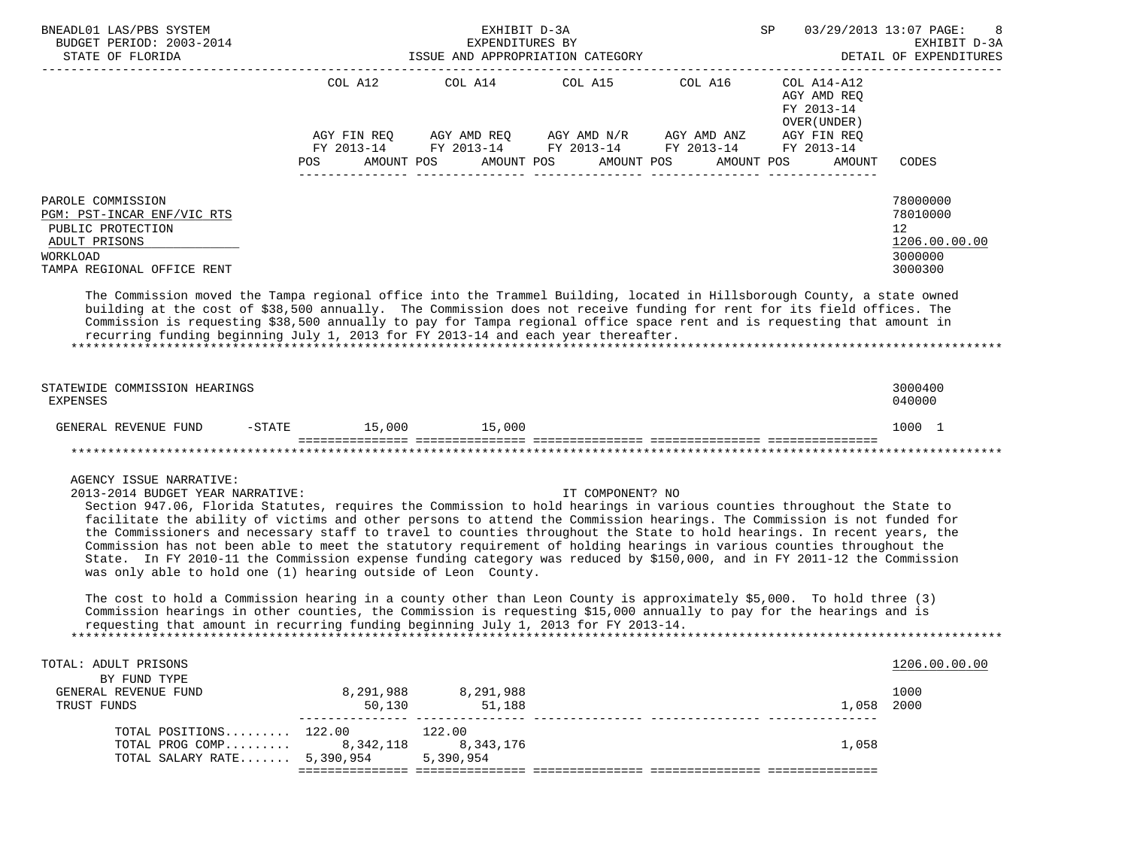| BNEADL01 LAS/PBS SYSTEM<br>BUDGET PERIOD: 2003-2014                                                                                                                                                                                                                                                                                                                                                                                                                                                                                                                                                                                                                                                                                                                                                                                                                                                                                                                                                                                                                                                    |                                                           | EXHIBIT D-3A<br>EXPENDITURES BY |                                                                      |                                                              | SP<br>03/29/2013 13:07 PAGE:                                                                    | EXHIBIT D-3A<br>DETAIL OF EXPENDITURES                                         |  |
|--------------------------------------------------------------------------------------------------------------------------------------------------------------------------------------------------------------------------------------------------------------------------------------------------------------------------------------------------------------------------------------------------------------------------------------------------------------------------------------------------------------------------------------------------------------------------------------------------------------------------------------------------------------------------------------------------------------------------------------------------------------------------------------------------------------------------------------------------------------------------------------------------------------------------------------------------------------------------------------------------------------------------------------------------------------------------------------------------------|-----------------------------------------------------------|---------------------------------|----------------------------------------------------------------------|--------------------------------------------------------------|-------------------------------------------------------------------------------------------------|--------------------------------------------------------------------------------|--|
|                                                                                                                                                                                                                                                                                                                                                                                                                                                                                                                                                                                                                                                                                                                                                                                                                                                                                                                                                                                                                                                                                                        | COL A12<br>AGY FIN REQ<br>FY 2013-14<br>POS<br>AMOUNT POS | COL A14                         | COL A15 COL A16<br>AGY AMD REQ AGY AMD N/R AGY AMD ANZ<br>AMOUNT POS | FY 2013-14 FY 2013-14 FY 2013-14<br>AMOUNT POS<br>AMOUNT POS | COL A14-A12<br>AGY AMD REO<br>FY 2013-14<br>OVER (UNDER)<br>AGY FIN REQ<br>FY 2013-14<br>AMOUNT | CODES                                                                          |  |
| PAROLE COMMISSION<br>PGM: PST-INCAR ENF/VIC RTS<br>PUBLIC PROTECTION<br>ADULT PRISONS<br>WORKLOAD<br>TAMPA REGIONAL OFFICE RENT<br>The Commission moved the Tampa regional office into the Trammel Building, located in Hillsborough County, a state owned<br>building at the cost of \$38,500 annually. The Commission does not receive funding for rent for its field offices. The<br>Commission is requesting \$38,500 annually to pay for Tampa regional office space rent and is requesting that amount in<br>recurring funding beginning July 1, 2013 for FY 2013-14 and each year thereafter.                                                                                                                                                                                                                                                                                                                                                                                                                                                                                                   |                                                           |                                 |                                                                      |                                                              |                                                                                                 | 78000000<br>78010000<br>12 <sup>°</sup><br>1206.00.00.00<br>3000000<br>3000300 |  |
| STATEWIDE COMMISSION HEARINGS<br><b>EXPENSES</b>                                                                                                                                                                                                                                                                                                                                                                                                                                                                                                                                                                                                                                                                                                                                                                                                                                                                                                                                                                                                                                                       |                                                           |                                 |                                                                      |                                                              |                                                                                                 | 3000400<br>040000                                                              |  |
| GENERAL REVENUE FUND<br>$-$ STATE                                                                                                                                                                                                                                                                                                                                                                                                                                                                                                                                                                                                                                                                                                                                                                                                                                                                                                                                                                                                                                                                      | 15,000                                                    | 15,000                          |                                                                      |                                                              |                                                                                                 | 1000 1                                                                         |  |
|                                                                                                                                                                                                                                                                                                                                                                                                                                                                                                                                                                                                                                                                                                                                                                                                                                                                                                                                                                                                                                                                                                        |                                                           |                                 |                                                                      |                                                              |                                                                                                 |                                                                                |  |
| AGENCY ISSUE NARRATIVE:<br>2013-2014 BUDGET YEAR NARRATIVE:<br>Section 947.06, Florida Statutes, requires the Commission to hold hearings in various counties throughout the State to<br>facilitate the ability of victims and other persons to attend the Commission hearings. The Commission is not funded for<br>the Commissioners and necessary staff to travel to counties throughout the State to hold hearings. In recent years, the<br>Commission has not been able to meet the statutory requirement of holding hearings in various counties throughout the<br>State. In FY 2010-11 the Commission expense funding category was reduced by \$150,000, and in FY 2011-12 the Commission<br>was only able to hold one (1) hearing outside of Leon County.<br>The cost to hold a Commission hearing in a county other than Leon County is approximately \$5,000. To hold three (3)<br>Commission hearings in other counties, the Commission is requesting \$15,000 annually to pay for the hearings and is<br>requesting that amount in recurring funding beginning July 1, 2013 for FY 2013-14. |                                                           |                                 | IT COMPONENT? NO                                                     |                                                              |                                                                                                 |                                                                                |  |
|                                                                                                                                                                                                                                                                                                                                                                                                                                                                                                                                                                                                                                                                                                                                                                                                                                                                                                                                                                                                                                                                                                        |                                                           |                                 |                                                                      |                                                              |                                                                                                 |                                                                                |  |
| TOTAL: ADULT PRISONS<br>BY FUND TYPE                                                                                                                                                                                                                                                                                                                                                                                                                                                                                                                                                                                                                                                                                                                                                                                                                                                                                                                                                                                                                                                                   |                                                           |                                 |                                                                      |                                                              |                                                                                                 | 1206.00.00.00                                                                  |  |
| GENERAL REVENUE FUND<br>TRUST FUNDS                                                                                                                                                                                                                                                                                                                                                                                                                                                                                                                                                                                                                                                                                                                                                                                                                                                                                                                                                                                                                                                                    | 50,130                                                    | 8,291,988 8,291,988<br>51,188   |                                                                      |                                                              | 1,058 2000                                                                                      | 1000                                                                           |  |
| TOTAL POSITIONS $122.00$ $122.00$<br>TOTAL PROG COMP<br>TOTAL SALARY RATE 5,390,954                                                                                                                                                                                                                                                                                                                                                                                                                                                                                                                                                                                                                                                                                                                                                                                                                                                                                                                                                                                                                    | 8,342,118                                                 | 8,343,176<br>5,390,954          |                                                                      |                                                              | 1,058                                                                                           |                                                                                |  |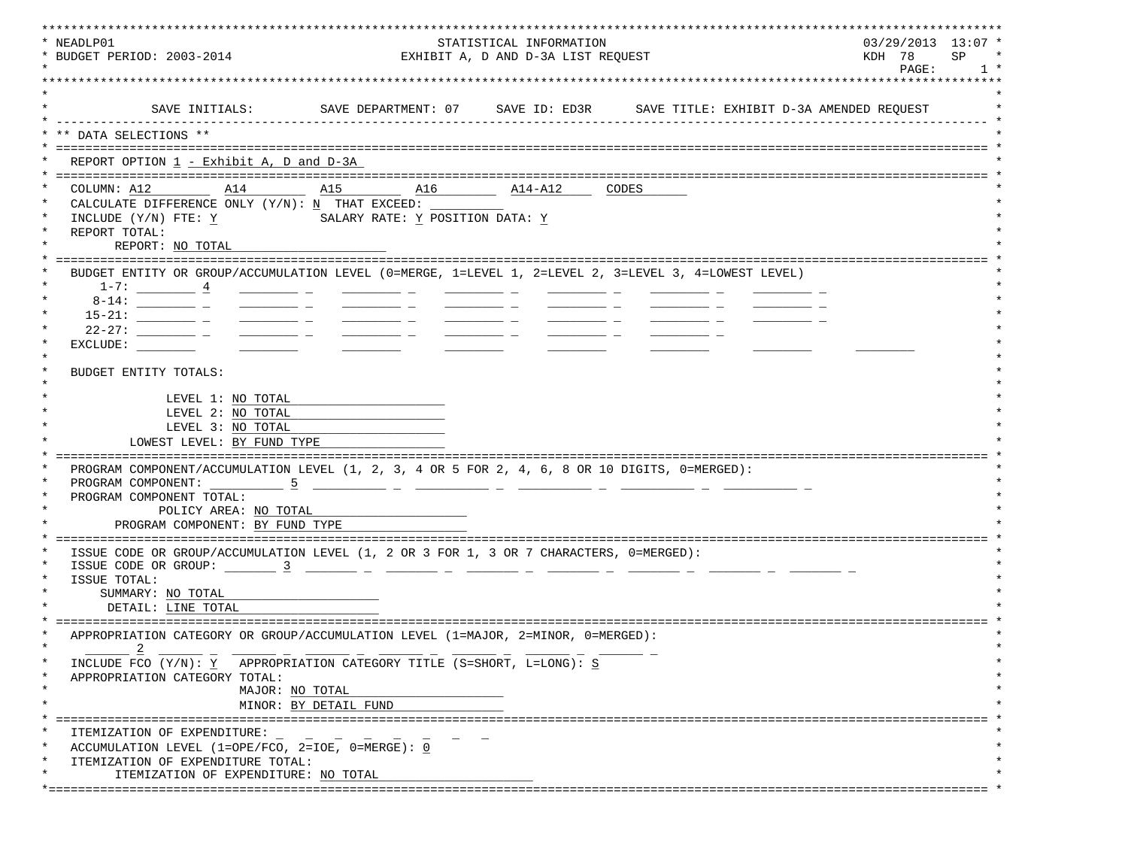| * NEADLP01<br>STATISTICAL INFORMATION<br>* BUDGET PERIOD: 2003-2014<br>EXHIBIT A, D AND D-3A LIST REQUEST                                                                                                                                                                                                                                                                                                                                               |                                                                                                                                                                                                                                      |                                                                                                                                                                                                                                                                                                                                                                                                                                                                                 |                                                                            |                |  |  |
|---------------------------------------------------------------------------------------------------------------------------------------------------------------------------------------------------------------------------------------------------------------------------------------------------------------------------------------------------------------------------------------------------------------------------------------------------------|--------------------------------------------------------------------------------------------------------------------------------------------------------------------------------------------------------------------------------------|---------------------------------------------------------------------------------------------------------------------------------------------------------------------------------------------------------------------------------------------------------------------------------------------------------------------------------------------------------------------------------------------------------------------------------------------------------------------------------|----------------------------------------------------------------------------|----------------|--|--|
|                                                                                                                                                                                                                                                                                                                                                                                                                                                         |                                                                                                                                                                                                                                      |                                                                                                                                                                                                                                                                                                                                                                                                                                                                                 |                                                                            | PAGE:<br>$1 *$ |  |  |
|                                                                                                                                                                                                                                                                                                                                                                                                                                                         |                                                                                                                                                                                                                                      |                                                                                                                                                                                                                                                                                                                                                                                                                                                                                 | *****************************                                              |                |  |  |
| SAVE INITIALS:                                                                                                                                                                                                                                                                                                                                                                                                                                          |                                                                                                                                                                                                                                      |                                                                                                                                                                                                                                                                                                                                                                                                                                                                                 | SAVE DEPARTMENT: 07 SAVE ID: ED3R SAVE TITLE: EXHIBIT D-3A AMENDED REQUEST |                |  |  |
| ** DATA SELECTIONS **                                                                                                                                                                                                                                                                                                                                                                                                                                   |                                                                                                                                                                                                                                      |                                                                                                                                                                                                                                                                                                                                                                                                                                                                                 |                                                                            |                |  |  |
|                                                                                                                                                                                                                                                                                                                                                                                                                                                         |                                                                                                                                                                                                                                      |                                                                                                                                                                                                                                                                                                                                                                                                                                                                                 |                                                                            |                |  |  |
| REPORT OPTION 1 - Exhibit A, D and D-3A                                                                                                                                                                                                                                                                                                                                                                                                                 |                                                                                                                                                                                                                                      |                                                                                                                                                                                                                                                                                                                                                                                                                                                                                 |                                                                            |                |  |  |
|                                                                                                                                                                                                                                                                                                                                                                                                                                                         |                                                                                                                                                                                                                                      | $\overline{\phantom{1}}$ $\overline{\phantom{1}}$ $\overline{\phantom{1}}$ $\overline{\phantom{1}}$ $\overline{\phantom{1}}$ $\overline{\phantom{1}}$ $\overline{\phantom{1}}$ $\overline{\phantom{1}}$ $\overline{\phantom{1}}$ $\overline{\phantom{1}}$ $\overline{\phantom{1}}$ $\overline{\phantom{1}}$ $\overline{\phantom{1}}$ $\overline{\phantom{1}}$ $\overline{\phantom{1}}$ $\overline{\phantom{1}}$ $\overline{\phantom{1}}$ $\overline{\phantom{1}}$ $\overline{\$ | CODES                                                                      |                |  |  |
| CALCULATE DIFFERENCE ONLY $(Y/N): N$ THAT EXCEED:                                                                                                                                                                                                                                                                                                                                                                                                       |                                                                                                                                                                                                                                      |                                                                                                                                                                                                                                                                                                                                                                                                                                                                                 |                                                                            |                |  |  |
| INCLUDE (Y/N) FTE: Y                                                                                                                                                                                                                                                                                                                                                                                                                                    | SALARY RATE: Y POSITION DATA: Y                                                                                                                                                                                                      |                                                                                                                                                                                                                                                                                                                                                                                                                                                                                 |                                                                            |                |  |  |
| REPORT TOTAL:                                                                                                                                                                                                                                                                                                                                                                                                                                           |                                                                                                                                                                                                                                      |                                                                                                                                                                                                                                                                                                                                                                                                                                                                                 |                                                                            |                |  |  |
| REPORT: NO TOTAL                                                                                                                                                                                                                                                                                                                                                                                                                                        |                                                                                                                                                                                                                                      |                                                                                                                                                                                                                                                                                                                                                                                                                                                                                 |                                                                            |                |  |  |
| BUDGET ENTITY OR GROUP/ACCUMULATION LEVEL (0=MERGE, 1=LEVEL 1, 2=LEVEL 2, 3=LEVEL 3, 4=LOWEST LEVEL)                                                                                                                                                                                                                                                                                                                                                    |                                                                                                                                                                                                                                      |                                                                                                                                                                                                                                                                                                                                                                                                                                                                                 |                                                                            |                |  |  |
| $1-7:$ $4$                                                                                                                                                                                                                                                                                                                                                                                                                                              |                                                                                                                                                                                                                                      |                                                                                                                                                                                                                                                                                                                                                                                                                                                                                 |                                                                            |                |  |  |
|                                                                                                                                                                                                                                                                                                                                                                                                                                                         |                                                                                                                                                                                                                                      |                                                                                                                                                                                                                                                                                                                                                                                                                                                                                 |                                                                            |                |  |  |
| $\frac{1}{1-\frac{1}{1-\frac{1}{1-\frac{1}{1-\frac{1}{1-\frac{1}{1-\frac{1}{1-\frac{1}{1-\frac{1}{1-\frac{1}{1-\frac{1}{1-\frac{1}{1-\frac{1}{1-\frac{1}{1-\frac{1}{1-\frac{1}{1-\frac{1}{1-\frac{1}{1-\frac{1}{1-\frac{1}{1-\frac{1}{1-\frac{1}{1-\frac{1}{1-\frac{1}{1-\frac{1}{1-\frac{1}{1-\frac{1}{1-\frac{1}{1-\frac{1}{1-\frac{1}{1-\frac{1}{1-\frac{1}{1-\frac{1}{1-\frac{1}{1-\frac{1}{1-\frac{1}{1-\frac{1$                                   |                                                                                                                                                                                                                                      |                                                                                                                                                                                                                                                                                                                                                                                                                                                                                 |                                                                            |                |  |  |
| $22 - 27$ : ________________ _<br>$\frac{1}{1-\frac{1}{1-\frac{1}{1-\frac{1}{1-\frac{1}{1-\frac{1}{1-\frac{1}{1-\frac{1}{1-\frac{1}{1-\frac{1}{1-\frac{1}{1-\frac{1}{1-\frac{1}{1-\frac{1}{1-\frac{1}{1-\frac{1}{1-\frac{1}{1-\frac{1}{1-\frac{1}{1-\frac{1}{1-\frac{1}{1-\frac{1}{1-\frac{1}{1-\frac{1}{1-\frac{1}{1-\frac{1}{1-\frac{1}{1-\frac{1}{1-\frac{1}{1-\frac{1}{1-\frac{1}{1-\frac{1}{1-\frac{1}{1-\frac{1}{1-\frac{1}{1-\frac{1}{1-\frac{1$ | <u> Albanya (Albanya)</u>                                                                                                                                                                                                            | $\overline{\phantom{a}}$ . The contract of $\overline{\phantom{a}}$ , $\overline{\phantom{a}}$ , $\overline{\phantom{a}}$ , $\overline{\phantom{a}}$ , $\overline{\phantom{a}}$ , $\overline{\phantom{a}}$ , $\overline{\phantom{a}}$ , $\overline{\phantom{a}}$ , $\overline{\phantom{a}}$ , $\overline{\phantom{a}}$ , $\overline{\phantom{a}}$ , $\overline{\phantom{a}}$ , $\overline{\phantom{a}}$ , $\overline{\phantom{a$                                                |                                                                            |                |  |  |
| EXCLUDE:                                                                                                                                                                                                                                                                                                                                                                                                                                                |                                                                                                                                                                                                                                      |                                                                                                                                                                                                                                                                                                                                                                                                                                                                                 |                                                                            |                |  |  |
|                                                                                                                                                                                                                                                                                                                                                                                                                                                         |                                                                                                                                                                                                                                      |                                                                                                                                                                                                                                                                                                                                                                                                                                                                                 |                                                                            |                |  |  |
| BUDGET ENTITY TOTALS:                                                                                                                                                                                                                                                                                                                                                                                                                                   |                                                                                                                                                                                                                                      |                                                                                                                                                                                                                                                                                                                                                                                                                                                                                 |                                                                            |                |  |  |
| LEVEL 1: NO TOTAL                                                                                                                                                                                                                                                                                                                                                                                                                                       |                                                                                                                                                                                                                                      |                                                                                                                                                                                                                                                                                                                                                                                                                                                                                 |                                                                            |                |  |  |
| LEVEL 2: NO TOTAL                                                                                                                                                                                                                                                                                                                                                                                                                                       |                                                                                                                                                                                                                                      |                                                                                                                                                                                                                                                                                                                                                                                                                                                                                 |                                                                            |                |  |  |
| LEVEL 3: NO TOTAL                                                                                                                                                                                                                                                                                                                                                                                                                                       |                                                                                                                                                                                                                                      |                                                                                                                                                                                                                                                                                                                                                                                                                                                                                 |                                                                            |                |  |  |
| LOWEST LEVEL: BY FUND TYPE                                                                                                                                                                                                                                                                                                                                                                                                                              |                                                                                                                                                                                                                                      |                                                                                                                                                                                                                                                                                                                                                                                                                                                                                 |                                                                            |                |  |  |
|                                                                                                                                                                                                                                                                                                                                                                                                                                                         |                                                                                                                                                                                                                                      |                                                                                                                                                                                                                                                                                                                                                                                                                                                                                 |                                                                            |                |  |  |
| PROGRAM COMPONENT/ACCUMULATION LEVEL (1, 2, 3, 4 OR 5 FOR 2, 4, 6, 8 OR 10 DIGITS, 0=MERGED):<br>PROGRAM COMPONENT:<br>$\sim$ 5 $-$ 5                                                                                                                                                                                                                                                                                                                   |                                                                                                                                                                                                                                      |                                                                                                                                                                                                                                                                                                                                                                                                                                                                                 |                                                                            |                |  |  |
| PROGRAM COMPONENT TOTAL:                                                                                                                                                                                                                                                                                                                                                                                                                                |                                                                                                                                                                                                                                      |                                                                                                                                                                                                                                                                                                                                                                                                                                                                                 |                                                                            |                |  |  |
| POLICY AREA: NO TOTAL                                                                                                                                                                                                                                                                                                                                                                                                                                   |                                                                                                                                                                                                                                      |                                                                                                                                                                                                                                                                                                                                                                                                                                                                                 |                                                                            |                |  |  |
| PROGRAM COMPONENT: BY FUND TYPE                                                                                                                                                                                                                                                                                                                                                                                                                         |                                                                                                                                                                                                                                      |                                                                                                                                                                                                                                                                                                                                                                                                                                                                                 |                                                                            |                |  |  |
|                                                                                                                                                                                                                                                                                                                                                                                                                                                         |                                                                                                                                                                                                                                      |                                                                                                                                                                                                                                                                                                                                                                                                                                                                                 |                                                                            |                |  |  |
| ISSUE CODE OR GROUP/ACCUMULATION LEVEL (1, 2 OR 3 FOR 1, 3 OR 7 CHARACTERS, 0=MERGED):                                                                                                                                                                                                                                                                                                                                                                  |                                                                                                                                                                                                                                      |                                                                                                                                                                                                                                                                                                                                                                                                                                                                                 |                                                                            |                |  |  |
| ISSUE CODE OR GROUP: 3                                                                                                                                                                                                                                                                                                                                                                                                                                  | <u> 2000 - 2000 - 2000 - 2000 - 2000 - 2000 - 2000 - 2000 - 2000 - 2000 - 2000 - 2000 - 2000 - 2000 - 2000 - 2000 - 2000 - 2000 - 2000 - 2000 - 2000 - 2000 - 2000 - 2000 - 2000 - 2000 - 2000 - 2000 - 2000 - 2000 - 2000 - 200</u> |                                                                                                                                                                                                                                                                                                                                                                                                                                                                                 |                                                                            |                |  |  |
| ISSUE TOTAL:<br>SUMMARY: NO TOTAL                                                                                                                                                                                                                                                                                                                                                                                                                       |                                                                                                                                                                                                                                      |                                                                                                                                                                                                                                                                                                                                                                                                                                                                                 |                                                                            |                |  |  |
| DETAIL: LINE TOTAL                                                                                                                                                                                                                                                                                                                                                                                                                                      |                                                                                                                                                                                                                                      |                                                                                                                                                                                                                                                                                                                                                                                                                                                                                 |                                                                            |                |  |  |
|                                                                                                                                                                                                                                                                                                                                                                                                                                                         |                                                                                                                                                                                                                                      |                                                                                                                                                                                                                                                                                                                                                                                                                                                                                 |                                                                            |                |  |  |
|                                                                                                                                                                                                                                                                                                                                                                                                                                                         | /ACCUMULATION LEVEL (1=MAJOR, 2=MINOR,                                                                                                                                                                                               |                                                                                                                                                                                                                                                                                                                                                                                                                                                                                 |                                                                            |                |  |  |
| $\overline{\phantom{0}}^2$                                                                                                                                                                                                                                                                                                                                                                                                                              |                                                                                                                                                                                                                                      |                                                                                                                                                                                                                                                                                                                                                                                                                                                                                 |                                                                            |                |  |  |
| INCLUDE FCO (Y/N): Y APPROPRIATION CATEGORY TITLE (S=SHORT, L=LONG): S                                                                                                                                                                                                                                                                                                                                                                                  |                                                                                                                                                                                                                                      |                                                                                                                                                                                                                                                                                                                                                                                                                                                                                 |                                                                            |                |  |  |
| APPROPRIATION CATEGORY TOTAL:<br>MAJOR: NO TOTAL                                                                                                                                                                                                                                                                                                                                                                                                        |                                                                                                                                                                                                                                      |                                                                                                                                                                                                                                                                                                                                                                                                                                                                                 |                                                                            |                |  |  |
|                                                                                                                                                                                                                                                                                                                                                                                                                                                         | MINOR: BY DETAIL FUND                                                                                                                                                                                                                |                                                                                                                                                                                                                                                                                                                                                                                                                                                                                 |                                                                            |                |  |  |
|                                                                                                                                                                                                                                                                                                                                                                                                                                                         |                                                                                                                                                                                                                                      |                                                                                                                                                                                                                                                                                                                                                                                                                                                                                 |                                                                            |                |  |  |
| ITEMIZATION OF EXPENDITURE:                                                                                                                                                                                                                                                                                                                                                                                                                             |                                                                                                                                                                                                                                      |                                                                                                                                                                                                                                                                                                                                                                                                                                                                                 |                                                                            |                |  |  |
| ACCUMULATION LEVEL (1=OPE/FCO, 2=IOE, 0=MERGE): 0                                                                                                                                                                                                                                                                                                                                                                                                       |                                                                                                                                                                                                                                      |                                                                                                                                                                                                                                                                                                                                                                                                                                                                                 |                                                                            |                |  |  |
| ITEMIZATION OF EXPENDITURE TOTAL:                                                                                                                                                                                                                                                                                                                                                                                                                       |                                                                                                                                                                                                                                      |                                                                                                                                                                                                                                                                                                                                                                                                                                                                                 |                                                                            |                |  |  |
| ITEMIZATION OF EXPENDITURE: NO TOTAL                                                                                                                                                                                                                                                                                                                                                                                                                    |                                                                                                                                                                                                                                      |                                                                                                                                                                                                                                                                                                                                                                                                                                                                                 |                                                                            |                |  |  |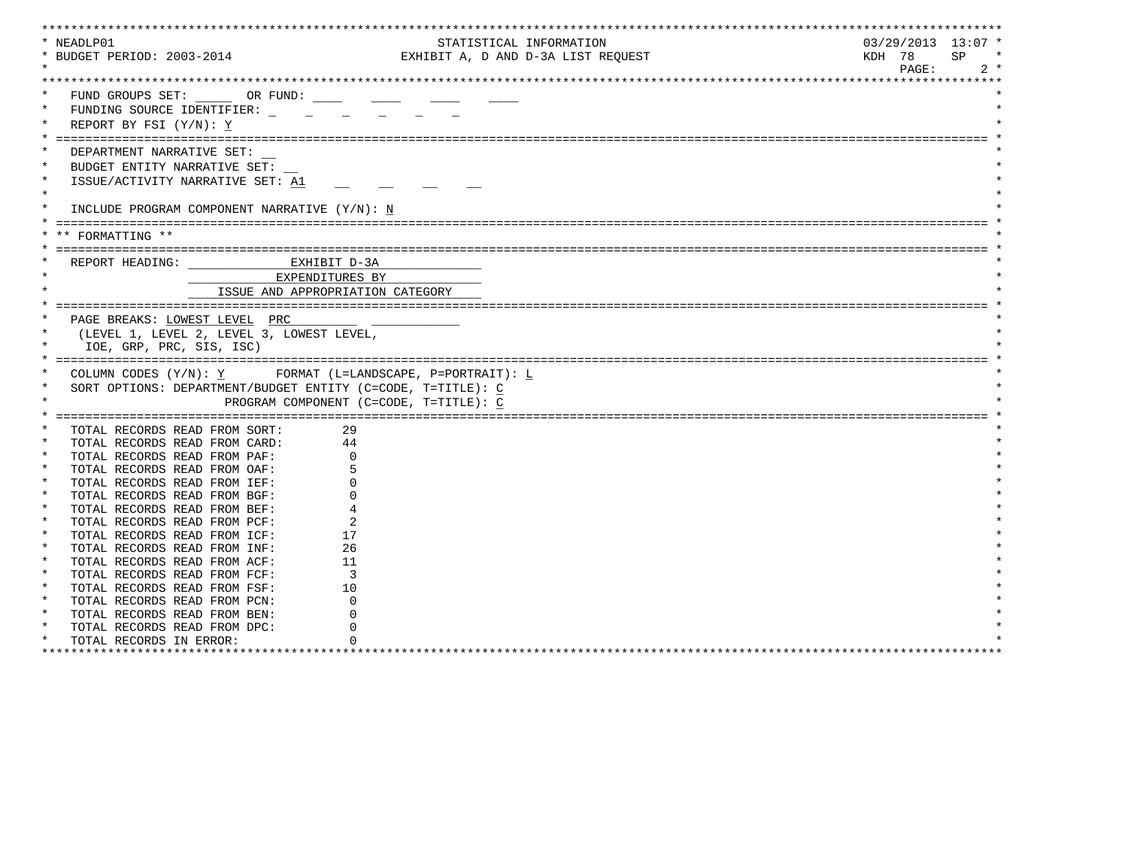| * NEADLP01                 |                                                             |                                                             |                                    |                      |
|----------------------------|-------------------------------------------------------------|-------------------------------------------------------------|------------------------------------|----------------------|
|                            |                                                             |                                                             | STATISTICAL INFORMATION            | $03/29/2013$ 13:07 * |
| * BUDGET PERIOD: 2003-2014 |                                                             |                                                             | EXHIBIT A, D AND D-3A LIST REQUEST | KDH 78<br>SP.        |
|                            |                                                             |                                                             |                                    | PAGE:<br>$2 *$       |
|                            |                                                             |                                                             |                                    |                      |
|                            | FUND GROUPS SET: OR FUND:                                   |                                                             |                                    |                      |
|                            |                                                             |                                                             |                                    |                      |
|                            | FUNDING SOURCE IDENTIFIER:                                  |                                                             |                                    |                      |
|                            | REPORT BY FSI $(Y/N): Y$                                    |                                                             |                                    |                      |
|                            |                                                             |                                                             |                                    |                      |
|                            | DEPARTMENT NARRATIVE SET:                                   |                                                             |                                    |                      |
| $\ast$                     | BUDGET ENTITY NARRATIVE SET:                                |                                                             |                                    |                      |
|                            | ISSUE/ACTIVITY NARRATIVE SET: A1                            |                                                             |                                    |                      |
| $\star$                    |                                                             |                                                             |                                    |                      |
|                            | INCLUDE PROGRAM COMPONENT NARRATIVE (Y/N): N                |                                                             |                                    |                      |
|                            |                                                             |                                                             |                                    |                      |
|                            |                                                             |                                                             |                                    |                      |
| FORMATTING **              |                                                             |                                                             |                                    |                      |
|                            |                                                             |                                                             |                                    |                      |
|                            | REPORT HEADING: CONTRACTED MANUSCRIPT D-3A                  |                                                             |                                    |                      |
|                            | EXPENDITURES BY                                             |                                                             |                                    |                      |
|                            |                                                             | ISSUE AND APPROPRIATION CATEGORY                            |                                    |                      |
|                            |                                                             |                                                             |                                    |                      |
|                            | PAGE BREAKS: LOWEST LEVEL PRC                               |                                                             |                                    |                      |
|                            | (LEVEL 1, LEVEL 2, LEVEL 3, LOWEST LEVEL,                   |                                                             |                                    |                      |
|                            | IOE, GRP, PRC, SIS, ISC)                                    |                                                             |                                    |                      |
|                            |                                                             |                                                             |                                    |                      |
|                            |                                                             | COLUMN CODES $(Y/N): Y$ FORMAT (L=LANDSCAPE, P=PORTRAIT): L |                                    |                      |
|                            |                                                             |                                                             |                                    |                      |
|                            | SORT OPTIONS: DEPARTMENT/BUDGET ENTITY (C=CODE, T=TITLE): C |                                                             |                                    |                      |
|                            |                                                             | PROGRAM COMPONENT (C=CODE, T=TITLE): C                      |                                    |                      |
|                            |                                                             |                                                             |                                    |                      |
|                            | TOTAL RECORDS READ FROM SORT:                               | 29                                                          |                                    |                      |
|                            | TOTAL RECORDS READ FROM CARD:                               | 44                                                          |                                    |                      |
|                            |                                                             |                                                             |                                    |                      |
|                            | TOTAL RECORDS READ FROM PAF:                                |                                                             |                                    |                      |
| $\ast$                     | TOTAL RECORDS READ FROM OAF:                                |                                                             |                                    |                      |
| $\star$                    |                                                             |                                                             |                                    |                      |
| $\star$                    | TOTAL RECORDS READ FROM IEF:                                |                                                             |                                    |                      |
| $\star$                    | TOTAL RECORDS READ FROM BGF:                                |                                                             |                                    |                      |
| $\star$                    | TOTAL RECORDS READ FROM BEF:                                |                                                             |                                    |                      |
|                            | TOTAL RECORDS READ FROM PCF:                                |                                                             |                                    |                      |
| $\ast$                     | TOTAL RECORDS READ FROM ICF:                                | 17                                                          |                                    |                      |
| $\star$                    | TOTAL RECORDS READ FROM INF:                                | 26                                                          |                                    |                      |
| $\star$                    | TOTAL RECORDS READ FROM ACF:                                | 11                                                          |                                    |                      |
| $\star$                    | TOTAL RECORDS READ FROM FCF:                                | 3                                                           |                                    |                      |
| $\star$                    | TOTAL RECORDS READ FROM FSF:                                | 10                                                          |                                    |                      |
| $\star$                    | TOTAL RECORDS READ FROM PCN:                                |                                                             |                                    |                      |
|                            | TOTAL RECORDS READ FROM BEN:                                |                                                             |                                    |                      |
| $\star$                    | TOTAL RECORDS READ FROM DPC:                                |                                                             |                                    |                      |
| $\ast$                     | TOTAL RECORDS IN ERROR:                                     |                                                             |                                    |                      |